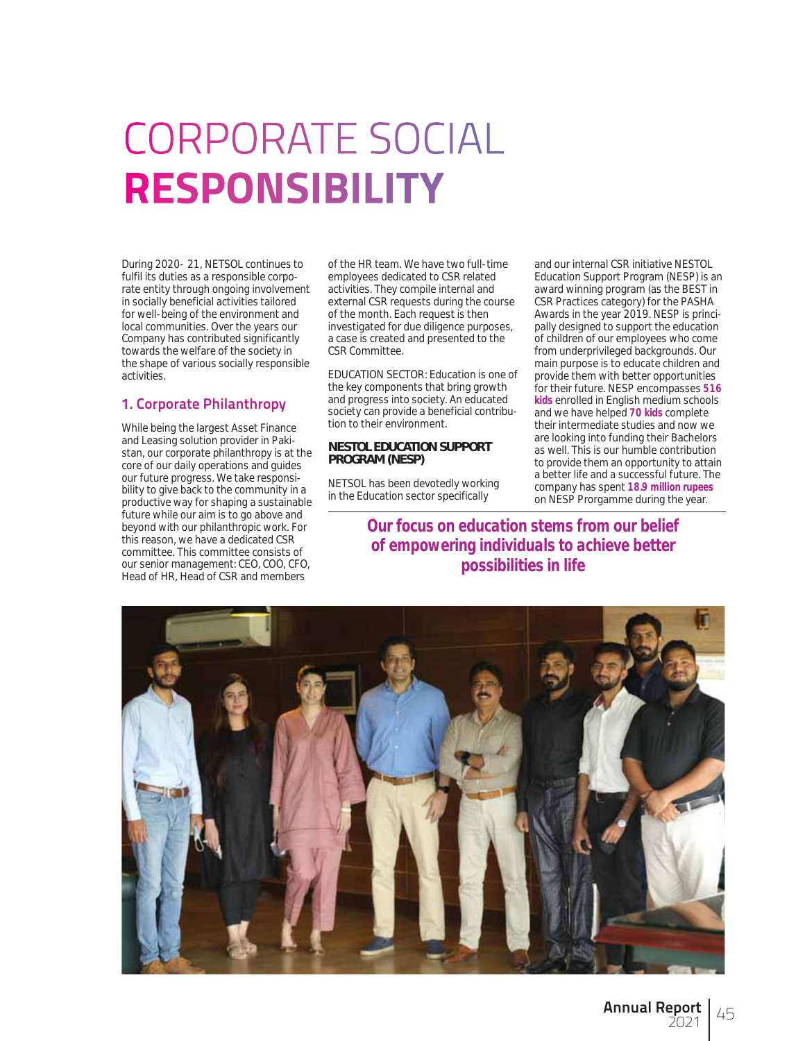# **CORPORATE SOCIAL RESPONSIBILITY**

During 2020- 21, NETSOL continues to fulfil its duties as a responsible corporate entity through ongoing involvement in socially beneficial activities tailored for well-being of the environment and local communities. Over the years our Company has contributed significantly towards the welfare of the society in the shape of various socially responsible activities.

## **1. Corporate Philanthropy**

While being the largest Asset Finance and Leasing solution provider in Pakistan, our corporate philanthropy is at the core of our daily operations and guides our future progress. We take responsibility to give back to the community in a productive way for shaping a sustainable future while our aim is to go above and beyond with our philanthropic work. For this reason, we have a dedicated CSR committee. This committee consists of our senior management: CEO, COO, CFO, Head of HR, Head of CSR and members

of the HR team. We have two full-time employees dedicated to CSR related activities. They compile internal and external CSR requests during the course of the month. Each request is then investigated for due diligence purposes, a case is created and presented to the CSR Committee.

EDUCATION SECTOR: Education is one of the key components that bring growth and progress into society. An educated society can provide a beneficial contribution to their environment.

## **NESTOL EDUCATION SUPPORT PROGRAM (NESP)**

NETSOL has been devotedly working in the Education sector specifically

company has spent *18.9 million rupees* on NESP Prorgamme during the year. *Our focus on education stems from our belief of empowering individuals to achieve better possibilities in life*

and our internal CSR initiative NESTOL Education Support Program (NESP) is an award winning program (as the BEST in CSR Practices category) for the PASHA Awards in the year 2019. NESP is principally designed to support the education of children of our employees who come from underprivileged backgrounds. Our main purpose is to educate children and provide them with better opportunities for their future. NESP encompasses *516 kids* enrolled in English medium schools and we have helped *70 kids* complete their intermediate studies and now we are looking into funding their Bachelors as well. This is our humble contribution to provide them an opportunity to attain a better life and a successful future. The

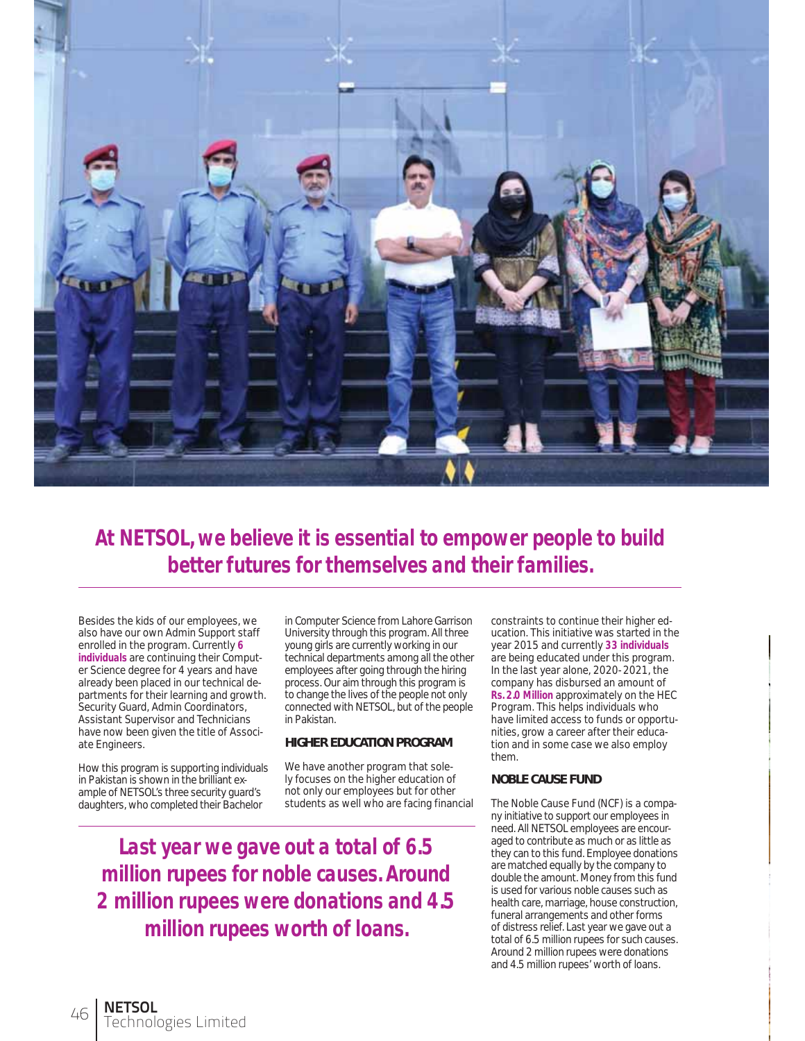

*At NETSOL, we believe it is essential to empower people to build better futures for themselves and their families.*

Besides the kids of our employees, we also have our own Admin Support staff enrolled in the program. Currently *6 individuals* are continuing their Computer Science degree for 4 years and have already been placed in our technical departments for their learning and growth. Security Guard, Admin Coordinators, Assistant Supervisor and Technicians have now been given the title of Associate Engineers.

How this program is supporting individuals in Pakistan is shown in the brilliant example of NETSOL's three security guard's daughters, who completed their Bachelor

in Computer Science from Lahore Garrison University through this program. All three young girls are currently working in our technical departments among all the other employees after going through the hiring process. Our aim through this program is to change the lives of the people not only connected with NETSOL, but of the people in Pakistan.

#### **HIGHER EDUCATION PROGRAM**

We have another program that solely focuses on the higher education of not only our employees but for other students as well who are facing financial

*Last year we gave out a total of 6.5 million rupees for noble causes. Around 2 million rupees were donations and 4.5 million rupees worth of loans.*

constraints to continue their higher education. This initiative was started in the year 2015 and currently *33 individuals* are being educated under this program. In the last year alone, 2020-2021, the company has disbursed an amount of *Rs. 2.0 Million* approximately on the HEC Program. This helps individuals who have limited access to funds or opportunities, grow a career after their education and in some case we also employ them.

## **NOBLE CAUSE FUND**

The Noble Cause Fund (NCF) is a company initiative to support our employees in need. All NETSOL employees are encouraged to contribute as much or as little as they can to this fund. Employee donations are matched equally by the company to double the amount. Money from this fund is used for various noble causes such as health care, marriage, house construction, funeral arrangements and other forms of distress relief. Last year we gave out a total of 6.5 million rupees for such causes. Around 2 million rupees were donations and 4.5 million rupees' worth of loans.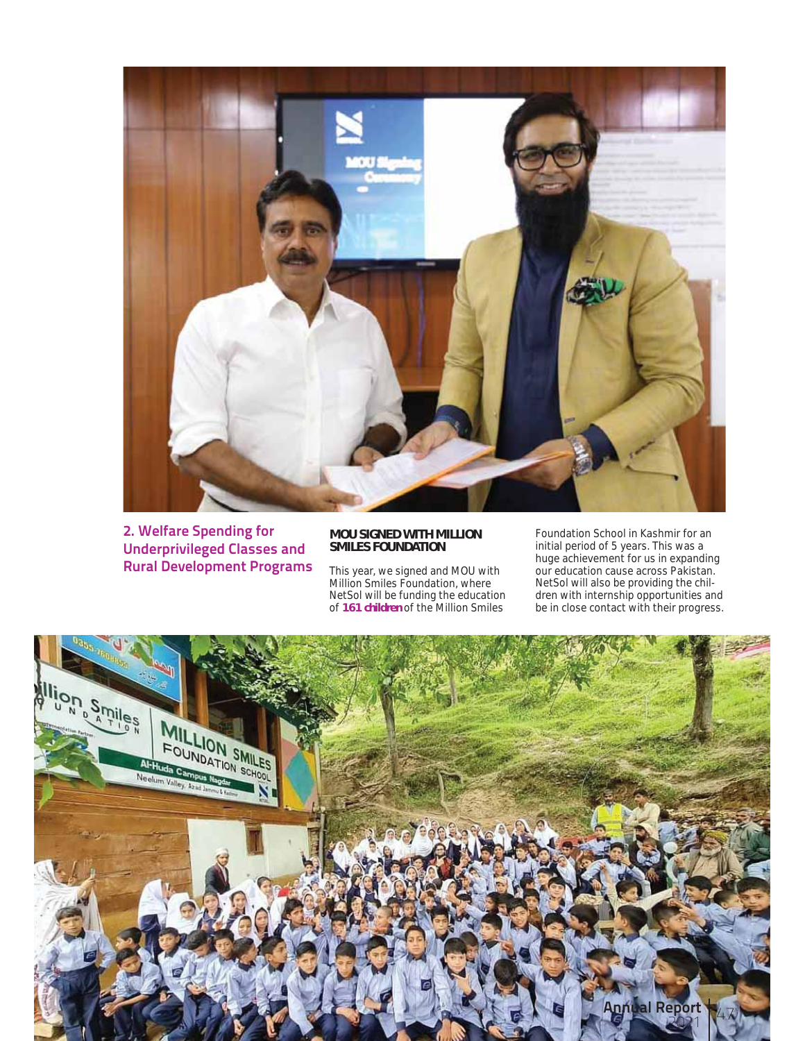

**2. Welfare Spending for Underprivileged Classes and Rural Development Programs**

#### **MOU SIGNED WITH MILLION SMILES FOUNDATION**

This year, we signed and MOU with Million Smiles Foundation, where NetSol will be funding the education of *161 children* of the Million Smiles

Foundation School in Kashmir for an initial period of 5 years. This was a huge achievement for us in expanding our education cause across Pakistan. NetSol will also be providing the children with internship opportunities and be in close contact with their progress.

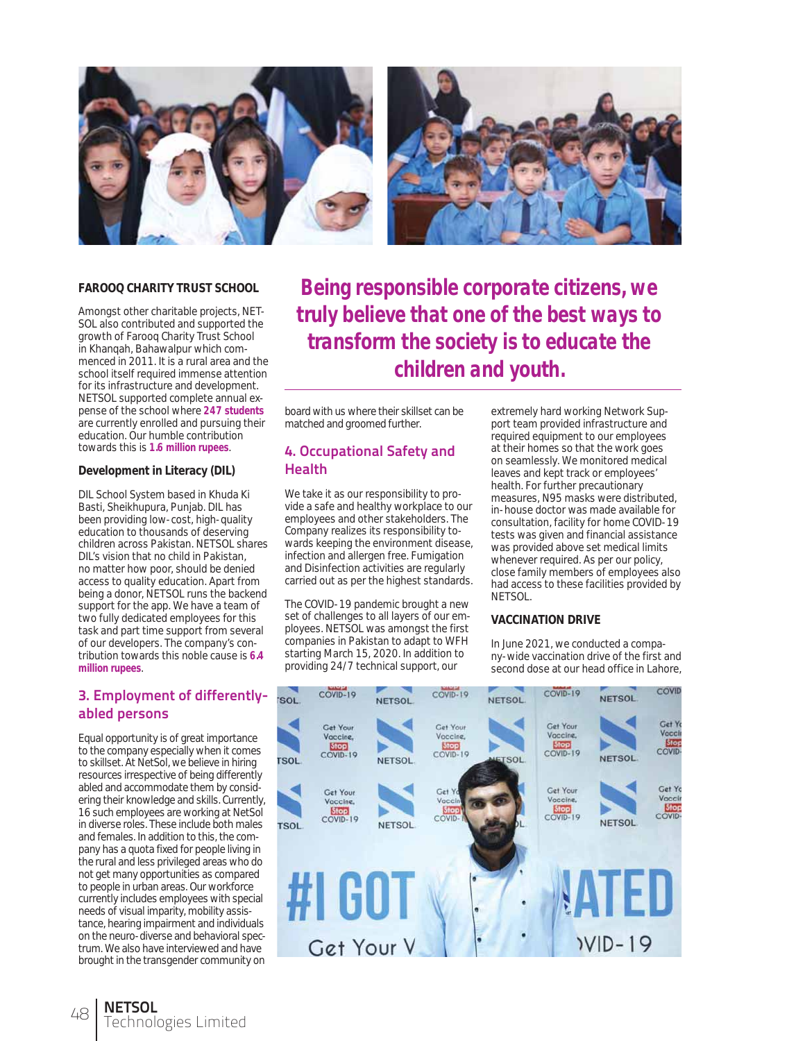

#### **FAROOQ CHARITY TRUST SCHOOL**

Amongst other charitable projects, NET-SOL also contributed and supported the growth of Farooq Charity Trust School in Khanqah, Bahawalpur which commenced in 2011. It is a rural area and the school itself required immense attention for its infrastructure and development. NETSOL supported complete annual expense of the school where *247 students* are currently enrolled and pursuing their education. Our humble contribution towards this is *1.6 million rupees*.

#### **Development in Literacy (DIL)**

DIL School System based in Khuda Ki Basti, Sheikhupura, Punjab. DIL has been providing low-cost, high-quality education to thousands of deserving children across Pakistan. NETSOL shares DIL's vision that no child in Pakistan, no matter how poor, should be denied access to quality education. Apart from being a donor, NETSOL runs the backend support for the app. We have a team of two fully dedicated employees for this task and part time support from several of our developers. The company's contribution towards this noble cause is *6.4 million rupees*.

## **3. Employment of differentlyabled persons**

Equal opportunity is of great importance to the company especially when it comes to skillset. At NetSol, we believe in hiring resources irrespective of being differently abled and accommodate them by considering their knowledge and skills. Currently, 16 such employees are working at NetSol in diverse roles. These include both males and females. In addition to this, the company has a quota fixed for people living in the rural and less privileged areas who do not get many opportunities as compared to people in urban areas. Our workforce currently includes employees with special needs of visual imparity, mobility assistance, hearing impairment and individuals on the neuro-diverse and behavioral spectrum. We also have interviewed and have brought in the transgender community on

*Being responsible corporate citizens, we truly believe that one of the best ways to transform the society is to educate the children and youth.*

board with us where their skillset can be matched and groomed further.

## **4. Occupational Safety and Health**

We take it as our responsibility to provide a safe and healthy workplace to our employees and other stakeholders. The Company realizes its responsibility towards keeping the environment disease, infection and allergen free. Fumigation and Disinfection activities are regularly carried out as per the highest standards.

The COVID-19 pandemic brought a new set of challenges to all layers of our employees. NETSOL was amongst the first companies in Pakistan to adapt to WFH starting March 15, 2020. In addition to providing 24/7 technical support, our

extremely hard working Network Support team provided infrastructure and required equipment to our employees at their homes so that the work goes on seamlessly. We monitored medical leaves and kept track or employees' health. For further precautionary measures, N95 masks were distributed, in-house doctor was made available for consultation, facility for home COVID-19 tests was given and financial assistance was provided above set medical limits whenever required. As per our policy, close family members of employees also had access to these facilities provided by NETSOL.

### **VACCINATION DRIVE**

In June 2021, we conducted a company-wide vaccination drive of the first and second dose at our head office in Lahore,